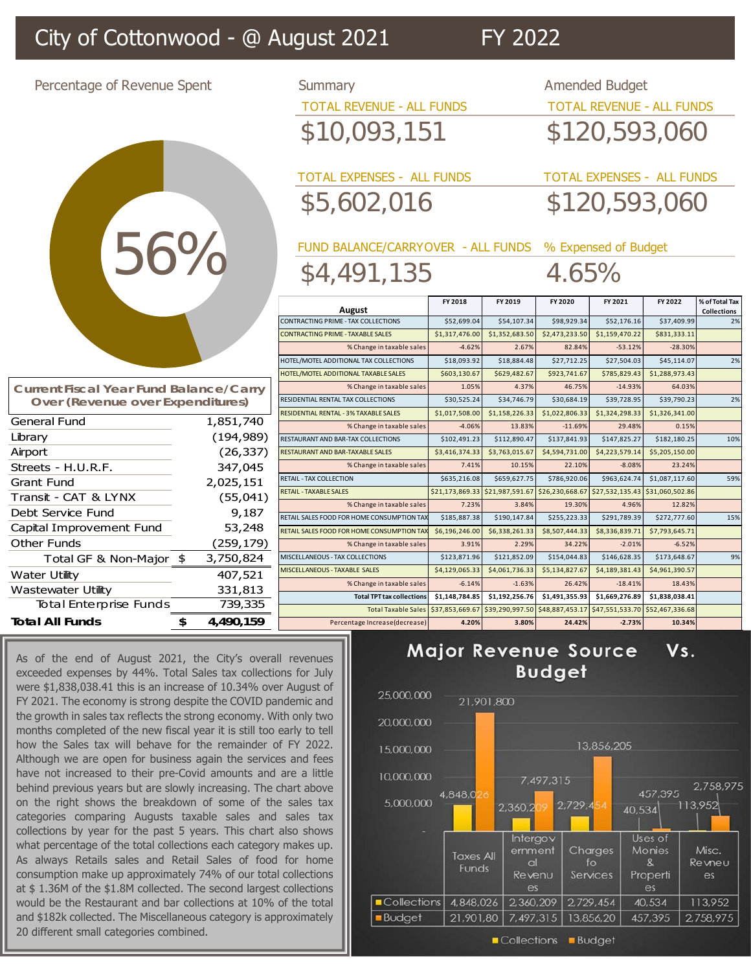## City of Cottonwood - @ August 2021 FY 2022

56% 56%

Percentage of Revenue Spent Summary Summary Amended Budget TOTAL REVENUE - ALL FUNDS TOTAL REVENUE - ALL FUNDS \$10,093,151 \$120,593,060

> TOTAL EXPENSES - ALL FUNDS TOTAL EXPENSES - ALL FUNDS \$5,602,016 \$120,593,060

FUND BALANCE/CARRYOVER - ALL FUNDS % Expensed of Budget \$4,491,135 4.65%

|  | August                                       | FY 2018         | FY 2019                         | FY 2020         | FY 2021                         | FY 2022         | % of Total Tax<br><b>Collections</b> |
|--|----------------------------------------------|-----------------|---------------------------------|-----------------|---------------------------------|-----------------|--------------------------------------|
|  | <b>CONTRACTING PRIME - TAX COLLECTIONS</b>   | \$52,699.04     | \$54,107.34                     | \$98,929.34     | \$52,176.16                     | \$37,409.99     | 2%                                   |
|  | <b>CONTRACTING PRIME - TAXABLE SALES</b>     | \$1,317,476.00  | \$1,352,683.50                  | \$2,473,233.50  | \$1,159,470.22                  | \$831,333.11    |                                      |
|  | % Change in taxable sales                    | $-4.62%$        | 2.67%                           | 82.84%          | $-53.12%$                       | $-28.30%$       |                                      |
|  | HOTEL/MOTEL ADDITIONAL TAX COLLECTIONS       | \$18,093.92     | \$18,884.48                     | \$27,712.25     | \$27,504.03                     | \$45,114.07     | 2%                                   |
|  | HOTEL/MOTEL ADDITIONAL TAXABLE SALES         | \$603,130.67    | \$629,482.67                    | \$923,741.67    | \$785,829.43                    | \$1,288,973.43  |                                      |
|  | % Change in taxable sales                    | 1.05%           | 4.37%                           | 46.75%          | $-14.93%$                       | 64.03%          |                                      |
|  | RESIDENTIAL RENTAL TAX COLLECTIONS           | \$30,525.24     | \$34,746.79                     | \$30,684.19     | \$39,728.95                     | \$39,790.23     | 2%                                   |
|  | <b>RESIDENTIAL RENTAL - 3% TAXABLE SALES</b> | \$1,017,508.00  | \$1,158,226.33                  | \$1,022,806.33  | \$1,324,298.33                  | \$1,326,341.00  |                                      |
|  | % Change in taxable sales                    | $-4.06%$        | 13.83%                          | $-11.69%$       | 29.48%                          | 0.15%           |                                      |
|  | RESTAURANT AND BAR-TAX COLLECTIONS           | \$102,491.23    | \$112,890.47                    | \$137,841.93    | \$147,825.27                    | \$182,180.25    | 10%                                  |
|  | RESTAURANT AND BAR-TAXABLE SALES             | \$3,416,374.33  | \$3,763,015.67                  | \$4,594,731.00  | \$4,223,579.14                  | \$5,205,150.00  |                                      |
|  | % Change in taxable sales                    | 7.41%           | 10.15%                          | 22.10%          | $-8.08%$                        | 23.24%          |                                      |
|  | <b>RETAIL - TAX COLLECTION</b>               | \$635,216.08    | \$659,627.75                    | \$786,920.06    | \$963,624.74                    | \$1,087,117.60  | 59%                                  |
|  | <b>RETAIL - TAXABLE SALES</b>                | \$21,173,869.33 | \$21,987,591.67                 | \$26,230,668.67 | \$27,532,135.43                 | \$31,060,502.86 |                                      |
|  | % Change in taxable sales                    | 7.23%           | 3.84%                           | 19.30%          | 4.96%                           | 12.82%          |                                      |
|  | RETAIL SALES FOOD FOR HOME CONSUMPTION TAX   | \$185,887.38    | \$190,147.84                    | \$255,223.33    | \$291,789.39                    | \$272,777.60    | 15%                                  |
|  | RETAIL SALES FOOD FOR HOME CONSUMPTION TAX   | \$6,196,246.00  | \$6,338,261.33                  | \$8,507,444.33  | \$8,336,839.71                  | \$7,793,645.71  |                                      |
|  | % Change in taxable sales                    | 3.91%           | 2.29%                           | 34.22%          | $-2.01%$                        | $-6.52%$        |                                      |
|  | MISCELLANEOUS - TAX COLLECTIONS              | \$123,871.96    | \$121,852.09                    | \$154,044.83    | \$146,628.35                    | \$173,648.67    | 9%                                   |
|  | MISCELLANEOUS - TAXABLE SALES                | \$4,129,065.33  | \$4,061,736.33                  | \$5,134,827.67  | \$4,189,381.43                  | \$4,961,390.57  |                                      |
|  | % Change in taxable sales                    | $-6.14%$        | $-1.63%$                        | 26.42%          | $-18.41%$                       | 18.43%          |                                      |
|  | <b>Total TPT tax collections</b>             | \$1,148,784.85  | \$1,192,256.76                  | \$1,491,355.93  | \$1,669,276.89                  | \$1,838,038.41  |                                      |
|  | <b>Total Taxable Sales</b>                   |                 | \$37,853,669.67 \$39,290,997.50 | \$48,887,453.17 | \$47,551,533.70 \$52,467,336.68 |                 |                                      |
|  | Percentage Increase(decrease)                | 4.20%           | 3.80%                           | 24.42%          | $-2.73%$                        | 10.34%          |                                      |

| Major Revenue Source Vs. |  |
|--------------------------|--|
| <b>Budget</b>            |  |



| <b>Current Fiscal Year Fund Balance/Carry</b><br>Over (Revenue over Expenditures) |            |            |  |  |
|-----------------------------------------------------------------------------------|------------|------------|--|--|
| <b>General Fund</b>                                                               |            | 1,851,740  |  |  |
| Library                                                                           | (194, 989) |            |  |  |
| Airport                                                                           |            | (26, 337)  |  |  |
| Streets - H.U.R.F.                                                                | 347,045    |            |  |  |
| Grant Fund                                                                        |            | 2,025,151  |  |  |
| Transit - CAT & LYNX                                                              |            | (55,041)   |  |  |
| Debt Service Fund                                                                 |            | 9,187      |  |  |
| Capital Improvement Fund                                                          |            | 53,248     |  |  |
| Other Funds                                                                       |            | (259, 179) |  |  |
| Total GF & Non-Major                                                              | - \$       | 3,750,824  |  |  |
| Water Utility                                                                     |            | 407,521    |  |  |
| Wastewater Utility                                                                |            | 331,813    |  |  |
| <b>Total Enterprise Funds</b>                                                     |            | 739,335    |  |  |
| <b>Total All Funds</b>                                                            | \$         | 4,490,159  |  |  |

As of the end of August 2021, the City's overall revenues exceeded expenses by 44%. Total Sales tax collections for July were \$1,838,038.41 this is an increase of 10.34% over August of FY 2021. The economy is strong despite the COVID pandemic and the growth in sales tax reflects the strong economy. With only two months completed of the new fiscal year it is still too early to tell how the Sales tax will behave for the remainder of FY 2022. Although we are open for business again the services and fees have not increased to their pre-Covid amounts and are a little behind previous years but are slowly increasing. The chart above on the right shows the breakdown of some of the sales tax categories comparing Augusts taxable sales and sales tax collections by year for the past 5 years. This chart also shows what percentage of the total collections each category makes up. As always Retails sales and Retail Sales of food for home consumption make up approximately 74% of our total collections at \$ 1.36M of the \$1.8M collected. The second largest collections would be the Restaurant and bar collections at 10% of the total and \$182k collected. The Miscellaneous category is approximately 20 different small categories combined.